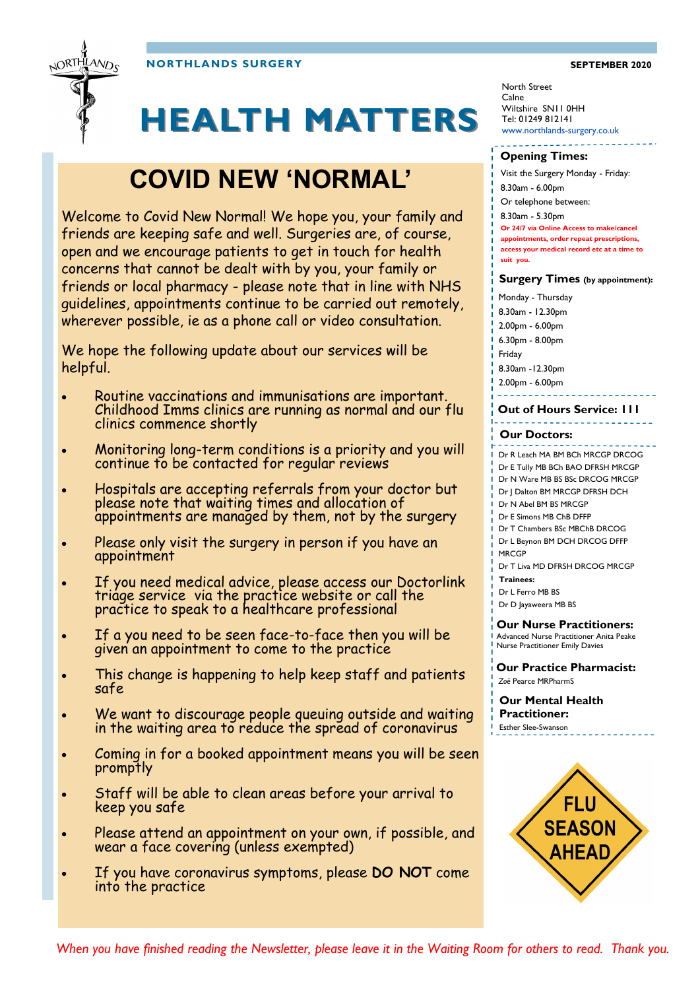**NORTHLANDS SURGERY SEPTEMBER 2020**



# **HEALTH MATTERS**

# **COVID NEW 'NORMAL'**

Welcome to Covid New Normal! We hope you, your family and friends are keeping safe and well. Surgeries are, of course, open and we encourage patients to get in touch for health concerns that cannot be dealt with by you, your family or friends or local pharmacy - please note that in line with NHS guidelines, appointments continue to be carried out remotely, wherever possible, ie as a phone call or video consultation.

We hope the following update about our services will be helpful.

- Routine vaccinations and immunisations are important. Childhood Imms clinics are running as normal and our flu clinics commence shortly
- Monitoring long-term conditions is a priority and you will continue to be contacted for regular reviews
- Hospitals are accepting referrals from your doctor but please note that waiting times and allocation of appointments are managed by them, not by the surgery
- Please only visit the surgery in person if you have an appointment
- If you need medical advice, please access our Doctorlink triage service via the practice website or call the practice to speak to a healthcare professional
- If a you need to be seen face-to-face then you will be given an appointment to come to the practice
- This change is happening to help keep staff and patients safe
- We want to discourage people queuing outside and waiting in the waiting area to reduce the spread of coronavirus
- Coming in for a booked appointment means you will be seen promptly
- Staff will be able to clean areas before your arrival to keep you safe
- Please attend an appointment on your own, if possible, and wear a face covering (unless exempted)
- If you have coronavirus symptoms, please **DO NOT** come into the practice

North Street Calne Wiltshire SN11 0HH Tel: 01249 812141 www.northlands-surgery.co.uk

#### **Opening Times:**

Visit the Surgery Monday - Friday:

- 8.30am 6.00pm
- Or telephone between:

8.30am - 5.30pm

**Or 24/7 via Online Access to make/cancel** 

**appointments, order repeat prescriptions,** 

- **access your medical record etc at a time to**
- **suit you.**

#### **Surgery Times (by appointment):**

- Monday Thursday
- 8.30am 12.30pm

2.00pm - 6.00pm

6.30pm - 8.00pm

Friday

8.30am -12.30pm

2.00pm - 6.00pm

. . . . . . . . . **Out of Hours Service: 111**

#### **Our Doctors:**

Dr R Leach MA BM BCh MRCGP DRCOG

- Dr E Tully MB BCh BAO DFRSH MRCGP
- Dr N Ware MB BS BSc DRCOG MRCGP
- Dr J Dalton BM MRCGP DFRSH DCH
- Dr N Abel BM BS MRCGP
- Dr E Simons MB ChB DFFP
- Dr T Chambers BSc MBChB DRCOG Dr L Beynon BM DCH DRCOG DFFP

**MRCGP** 

Dr T Liva MD DFRSH DRCOG MRCGP **Trainees:**

Dr L Ferro MB BS

Dr D Jayaweera MB BS

**Our Nurse Practitioners:**  Advanced Nurse Practitioner Anita Peake Nurse Practitioner Emily Davies

#### **Our Practice Pharmacist:**  *Zoë* Pearce MRPharmS

**Our Mental Health Practitioner:**  Esther Slee-Swanson